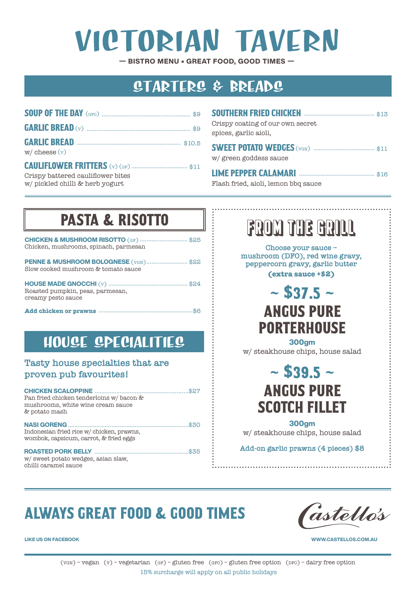# VICTORIAN TAVERN

**— BISTRO MENU • GREAT FOOD, GOOD TIMES —**

### STARTERS & BREADS

| $w/$ cheese $(v)$ |  |
|-------------------|--|
|                   |  |

Crispy battered cauliflower bites w/ pickled chilli & herb yogurt

| Crispy coating of our own secret<br>spices, garlic aioli. |  |
|-----------------------------------------------------------|--|
| w/green goddess sauce                                     |  |
|                                                           |  |

Flash fried, aioli, lemon bbq sauce

## PASTA & RISOTTO

| <b>CHICKEN &amp; MUSHROOM RISOTTO</b> (GF) \$25<br>Chicken, mushrooms, spinach, parmesan |
|------------------------------------------------------------------------------------------|
| <b>PENNE &amp; MUSHROOM BOLOGNESE</b> (VGN)\$22<br>Slow cooked mushroom & tomato sauce   |
| Roasted pumpkin, peas, parmesan,<br>creamy pesto sauce                                   |
|                                                                                          |

### HOUSE SPECIALITIES

#### **Tasty house specialties that are proven pub favourites!**

| Pan fried chicken tenderloins w/ bacon &<br>mushrooms, white wine cream sauce<br>& potato mash |  |
|------------------------------------------------------------------------------------------------|--|
| Indonesian fried rice w/ chicken, prawns,<br>wombok, capsicum, carrot, & fried eggs            |  |
| w/sweet potato wedges, asian slaw,<br>chilli caramel sauce                                     |  |

# FROM THE GRILL

**Choose your sauce – mushroom (DFO), red wine gravy, peppercorn gravy, garlic butter (extra sauce +\$2)**

### $~\sim$  \$37.5  $~\sim$ ANGUS PURE **PORTERHOUSE**

**300gm** w/ steakhouse chips, house salad

> $~\sim$  \$39.5  $~\sim$ ANGUS PURE SCOTCH FILLET

**300gm**  w/ steakhouse chips, house salad

**Add-on garlic prawns (4 pieces) \$8**

# ALWAYS GREAT FOOD & GOOD TIMES



**LIKE US ON FACEBOOK WWW.CASTELLOS.COM.AU**

 $(v_{GW})$  – vegan  $(v)$  – vegetarian  $(g_F)$  – gluten free  $(g_{FO})$  – gluten free option (pro) – dairy free option 15% surcharge will apply on all public holidays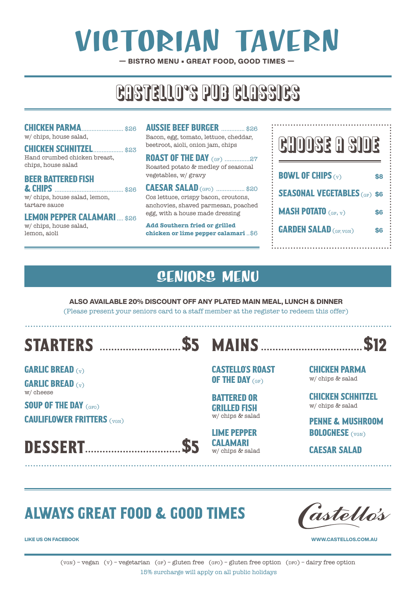# VICTORIAN TAVERN

**— BISTRO MENU • GREAT FOOD, GOOD TIMES —**

# CASTELLO, S PUB CLASSICS

#### CHICKEN PARMA......................... \$26

w/ chips, house salad,

#### CHICKEN SCHNITZEL................... \$23 Hand crumbed chicken breast, chips, house salad

#### BEER BATTERED FISH & CHIPS **...................................**\$26

w/ chips, house salad, lemon, tartare sauce

#### LEMON PEPPER CALAMARI.... \$26

w/ chips, house salad, lemon, aioli

**AUSSIE BEEF BURGER ............... \$26** Bacon, egg, tomato, lettuce, cheddar, beetroot, aioli, onion jam, chips

**ROAST OF THE DAY (GF) .................27** Roasted potato & medley of seasonal vegetables, w/ gravy

**CAESAR SALAD** (GFO) ................... \$20 Cos lettuce, crispy bacon, croutons, anchovies, shaved parmesan, poached egg, with a house made dressing

**Add Southern fried or grilled chicken or lime pepper calamari** ..\$6



### SENIORS MENU

**ALSO AVAILABLE 20% DISCOUNT OFF ANY PLATED MAIN MEAL, LUNCH & DINNER**  (Please present your seniors card to a staff member at the register to redeem this offer)

# STARTERS ............................\$5 MAINS ...................................\$12

GARLIC BREAD (v)

GARLIC BREAD (v) w/ cheese

SOUP OF THE DAY (GFO)

CAULIFLOWER FRITTERS (VGN)

DESSERT.................................\$5





CASTELLO'S ROAST OF THE DAY (GF)

BATTERED OR GRILLED FISH w/ chips & salad

LIME PEPPER CALAMARI w/ chips & salad

CHICKEN PARMA w/ chips & salad

CHICKEN SCHNITZEL w/ chips & salad

PENNE & MUSHROOM **BOLOGNESE** (VGN)

CAESAR SALAD

### ALWAYS GREAT FOOD & GOOD TIMES



**LIKE US ON FACEBOOK WWW.CASTELLOS.COM.AU**

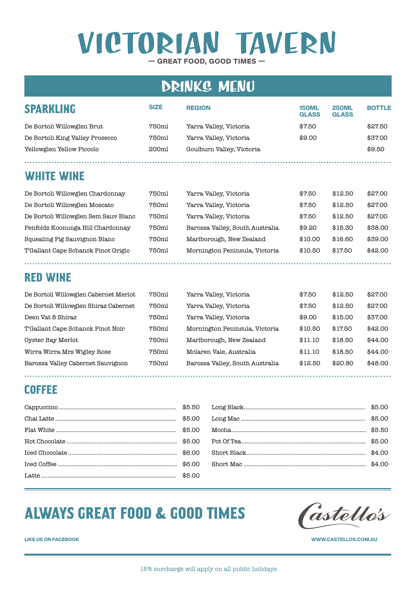# **— GREAT FOOD, GOOD TIMES —** VICTORIAN TAVERN

### DRINKS MENU

| <b>SPARKLING</b>                | <b>SIZE</b> | <b>REGION</b>             | <b>150ML</b><br><b>GLASS</b> | <b>250ML</b><br><b>GLASS</b> | <b>BOTTLE</b> |
|---------------------------------|-------------|---------------------------|------------------------------|------------------------------|---------------|
| De Bortoli Willowglen Brut      | 750ml       | Yarra Valley, Victoria    | \$7.50                       |                              | \$27.50       |
| De Bortoli King Valley Prosecco | 750ml       | Yarra Valley, Victoria    | \$9.00                       |                              | \$37.00       |
| Yellowglen Yellow Piccolo       | 200ml       | Goulburn Valley, Victoria |                              |                              | \$9.50        |
|                                 |             |                           |                              |                              |               |

#### WHITE WINE

| De Bortoli Willowglen Chardonnay     | 750ml | Yarra Valley, Victoria          | \$7.50  | \$12.50 | \$27.00 |
|--------------------------------------|-------|---------------------------------|---------|---------|---------|
| De Bortoli Willowglen Moscato        | 750ml | Yarra Valley, Victoria          | \$7.50  | \$12.50 | \$27.00 |
| De Bortoli Willowglen Sem Sauv Blanc | 750ml | Yarra Valley, Victoria          | \$7.50  | \$12.50 | \$27.00 |
| Penfolds Koonunga Hill Chardonnay    | 750ml | Barossa Valley, South Australia | \$9.20  | \$15.30 | \$38.00 |
| Squealing Pig Sauvignon Blanc        | 750ml | Marlborough, New Zealand        | \$10.00 | \$16.60 | \$39.00 |
| T'Gallant Cape Schanck Pinot Grigio  | 750ml | Mornington Peninsula, Victoria  | \$10.50 | \$17.50 | \$42.00 |
|                                      |       |                                 |         |         |         |

#### RED WINE

| De Bortoli Willowglen Cabernet Merlot | 750ml | Yarra Valley, Victoria          | \$7.50  | \$12.50 | \$27.00 |
|---------------------------------------|-------|---------------------------------|---------|---------|---------|
| De Bortoli Willowglen Shiraz Cabernet | 750ml | Yarra Valley, Victoria          | \$7.50  | \$12.50 | \$27.00 |
| Deen Vat 8 Shiraz                     | 750ml | Yarra Valley, Victoria          | \$9.00  | \$15.00 | \$37.00 |
| T'Gallant Cape Schanck Pinot Noir     | 750ml | Mornington Peninsula, Victoria  | \$10.50 | \$17.50 | \$42.00 |
| Oyster Bay Merlot                     | 750ml | Marlborough, New Zealand        | \$11.10 | \$18.50 | \$44.00 |
| Wirra Wirra Mrs Wigley Rose           | 750ml | Mclaren Vale, Australia         | \$11.10 | \$18.50 | \$44.00 |
| Barossa Valley Cabernet Sauvignon     | 750ml | Barossa Valley, South Australia | \$12.50 | \$20.80 | \$48.00 |

#### COFFEE

### ALWAYS GREAT FOOD & GOOD TIMES

Castellós

**LIKE US ON FACEBOOK WWW.CASTELLOS.COM.AU**